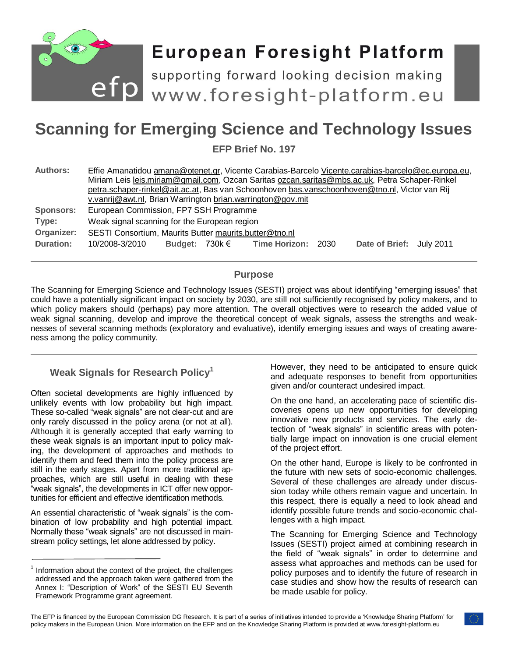

# **European Foresight Platform**

efp supporting forward looking decision making<br>efp www.foresight-platform.eu

# **Scanning for Emerging Science and Technology Issues**

**EFP Brief No. 197**

| <b>Authors:</b>                                             | Effie Amanatidou amana@otenet.gr, Vicente Carabias-Barcelo Vicente.carabias-barcelo@ec.europa.eu,<br>Miriam Leis leis.miriam@gmail.com, Ozcan Saritas ozcan.saritas@mbs.ac.uk, Petra Schaper-Rinkel<br>petra.schaper-rinkel@ait.ac.at, Bas van Schoonhoven bas.vanschoonhoven@tno.nl, Victor van Rij<br>v.vanrij@awt.nl, Brian Warrington brian.warrington@gov.mit |
|-------------------------------------------------------------|--------------------------------------------------------------------------------------------------------------------------------------------------------------------------------------------------------------------------------------------------------------------------------------------------------------------------------------------------------------------|
| <b>Sponsors:</b><br>Type:<br>Organizer:<br><b>Duration:</b> | European Commission, FP7 SSH Programme<br>Weak signal scanning for the European region<br>SESTI Consortium, Maurits Butter maurits butter@tno.nl<br>Budget: $730k \in$ Time Horizon: 2030<br>Date of Brief: July 2011<br>10/2008-3/2010                                                                                                                            |

### **Purpose**

The Scanning for Emerging Science and Technology Issues (SESTI) project was about identifying "emerging issues" that could have a potentially significant impact on society by 2030, are still not sufficiently recognised by policy makers, and to which policy makers should (perhaps) pay more attention. The overall objectives were to research the added value of weak signal scanning, develop and improve the theoretical concept of weak signals, assess the strengths and weaknesses of several scanning methods (exploratory and evaluative), identify emerging issues and ways of creating awareness among the policy community.

# **Weak Signals for Research Policy<sup>1</sup>**

Often societal developments are highly influenced by unlikely events with low probability but high impact. These so-called "weak signals" are not clear-cut and are only rarely discussed in the policy arena (or not at all). Although it is generally accepted that early warning to these weak signals is an important input to policy making, the development of approaches and methods to identify them and feed them into the policy process are still in the early stages. Apart from more traditional approaches, which are still useful in dealing with these "weak signals", the developments in ICT offer new opportunities for efficient and effective identification methods.

An essential characteristic of "weak signals" is the combination of low probability and high potential impact. Normally these "weak signals" are not discussed in mainstream policy settings, let alone addressed by policy.

However, they need to be anticipated to ensure quick and adequate responses to benefit from opportunities given and/or counteract undesired impact.

On the one hand, an accelerating pace of scientific discoveries opens up new opportunities for developing innovative new products and services. The early detection of "weak signals" in scientific areas with potentially large impact on innovation is one crucial element of the project effort.

On the other hand, Europe is likely to be confronted in the future with new sets of socio-economic challenges. Several of these challenges are already under discussion today while others remain vague and uncertain. In this respect, there is equally a need to look ahead and identify possible future trends and socio-economic challenges with a high impact.

The Scanning for Emerging Science and Technology Issues (SESTI) project aimed at combining research in the field of "weak signals" in order to determine and assess what approaches and methods can be used for policy purposes and to identify the future of research in case studies and show how the results of research can be made usable for policy.

<sup>1</sup> Information about the context of the project, the challenges addressed and the approach taken were gathered from the Annex I: "Description of Work" of the SESTI EU Seventh Framework Programme grant agreement.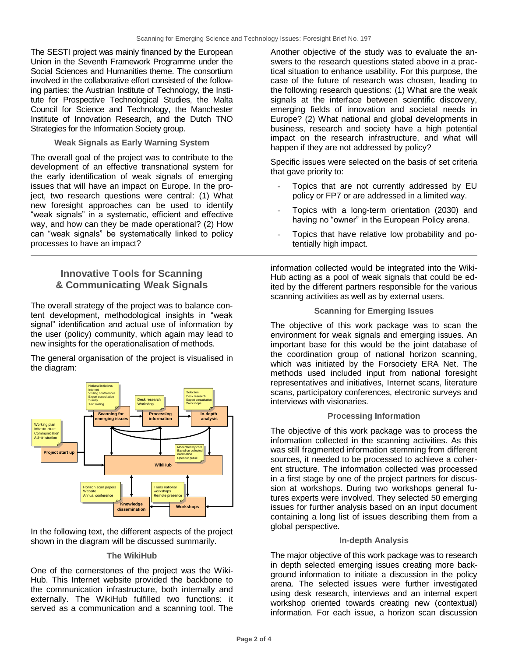The SESTI project was mainly financed by the European Union in the Seventh Framework Programme under the Social Sciences and Humanities theme. The consortium involved in the collaborative effort consisted of the following parties: the Austrian Institute of Technology, the Institute for Prospective Technological Studies, the Malta Council for Science and Technology, the Manchester Institute of Innovation Research, and the Dutch TNO Strategies for the Information Society group.

#### **Weak Signals as Early Warning System**

The overall goal of the project was to contribute to the development of an effective transnational system for the early identification of weak signals of emerging issues that will have an impact on Europe. In the project, two research questions were central: (1) What new foresight approaches can be used to identify "weak signals" in a systematic, efficient and effective way, and how can they be made operational? (2) How can "weak signals" be systematically linked to policy processes to have an impact?

## **Innovative Tools for Scanning & Communicating Weak Signals**

The overall strategy of the project was to balance content development, methodological insights in "weak signal" identification and actual use of information by the user (policy) community, which again may lead to new insights for the operationalisation of methods.

The general organisation of the project is visualised in the diagram:



In the following text, the different aspects of the project shown in the diagram will be discussed summarily.

#### **The WikiHub**

One of the cornerstones of the project was the Wiki-Hub. This Internet website provided the backbone to the communication infrastructure, both internally and externally. The WikiHub fulfilled two functions: it served as a communication and a scanning tool. The

Another objective of the study was to evaluate the answers to the research questions stated above in a practical situation to enhance usability. For this purpose, the case of the future of research was chosen, leading to the following research questions: (1) What are the weak signals at the interface between scientific discovery, emerging fields of innovation and societal needs in Europe? (2) What national and global developments in business, research and society have a high potential impact on the research infrastructure, and what will happen if they are not addressed by policy?

Specific issues were selected on the basis of set criteria that gave priority to:

- Topics that are not currently addressed by EU policy or FP7 or are addressed in a limited way.
- Topics with a long-term orientation (2030) and having no "owner" in the European Policy arena.
- Topics that have relative low probability and potentially high impact.

information collected would be integrated into the Wiki-Hub acting as a pool of weak signals that could be edited by the different partners responsible for the various scanning activities as well as by external users.

#### **Scanning for Emerging Issues**

The objective of this work package was to scan the environment for weak signals and emerging issues. An important base for this would be the joint database of the coordination group of national horizon scanning, which was initiated by the Forsociety ERA Net. The methods used included input from national foresight representatives and initiatives, Internet scans, literature scans, participatory conferences, electronic surveys and interviews with visionaries.

#### **Processing Information**

The objective of this work package was to process the information collected in the scanning activities. As this was still fragmented information stemming from different sources, it needed to be processed to achieve a coherent structure. The information collected was processed in a first stage by one of the project partners for discussion at workshops. During two workshops general futures experts were involved. They selected 50 emerging issues for further analysis based on an input document containing a long list of issues describing them from a global perspective.

#### **In-depth Analysis**

The major objective of this work package was to research in depth selected emerging issues creating more background information to initiate a discussion in the policy arena. The selected issues were further investigated using desk research, interviews and an internal expert workshop oriented towards creating new (contextual) information. For each issue, a horizon scan discussion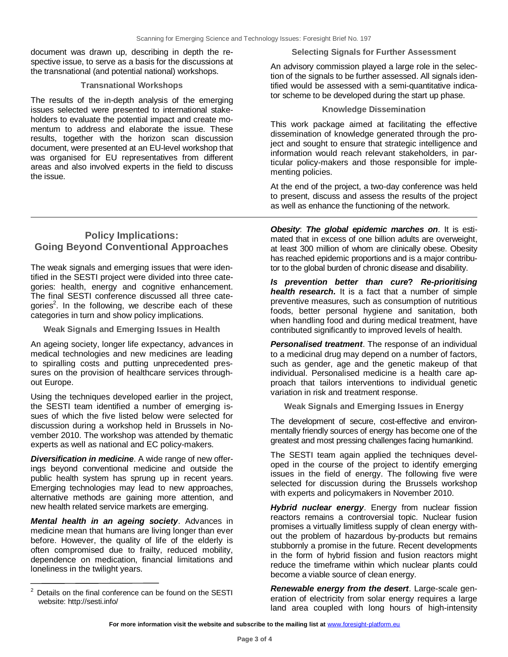document was drawn up, describing in depth the respective issue, to serve as a basis for the discussions at the transnational (and potential national) workshops.

#### **Transnational Workshops**

The results of the in-depth analysis of the emerging issues selected were presented to international stakeholders to evaluate the potential impact and create momentum to address and elaborate the issue. These results, together with the horizon scan discussion document, were presented at an EU-level workshop that was organised for EU representatives from different areas and also involved experts in the field to discuss the issue.

#### **Selecting Signals for Further Assessment**

An advisory commission played a large role in the selection of the signals to be further assessed. All signals identified would be assessed with a semi-quantitative indicator scheme to be developed during the start up phase.

#### **Knowledge Dissemination**

This work package aimed at facilitating the effective dissemination of knowledge generated through the project and sought to ensure that strategic intelligence and information would reach relevant stakeholders, in particular policy-makers and those responsible for implementing policies.

At the end of the project, a two-day conference was held to present, discuss and assess the results of the project as well as enhance the functioning of the network.

# **Policy Implications: Going Beyond Conventional Approaches**

The weak signals and emerging issues that were identified in the SESTI project were divided into three categories: health, energy and cognitive enhancement. The final SESTI conference discussed all three categories<sup>2</sup>. In the following, we describe each of these categories in turn and show policy implications.

**Weak Signals and Emerging Issues in Health**

An ageing society, longer life expectancy, advances in medical technologies and new medicines are leading to spiralling costs and putting unprecedented pressures on the provision of healthcare services throughout Europe.

Using the techniques developed earlier in the project, the SESTI team identified a number of emerging issues of which the five listed below were selected for discussion during a workshop held in Brussels in November 2010. The workshop was attended by thematic experts as well as national and EC policy-makers.

*Diversification in medicine*. A wide range of new offerings beyond conventional medicine and outside the public health system has sprung up in recent years. Emerging technologies may lead to new approaches, alternative methods are gaining more attention, and new health related service markets are emerging.

*Mental health in an ageing society*. Advances in medicine mean that humans are living longer than ever before. However, the quality of life of the elderly is often compromised due to frailty, reduced mobility, dependence on medication, financial limitations and loneliness in the twilight years.

*Obesity*: *The global epidemic marches on*. It is estimated that in excess of one billion adults are overweight, at least 300 million of whom are clinically obese. Obesity has reached epidemic proportions and is a major contributor to the global burden of chronic disease and disability.

*Is prevention better than cure***?** *Re-prioritising health research.* It is a fact that a number of simple preventive measures, such as consumption of nutritious foods, better personal hygiene and sanitation, both when handling food and during medical treatment, have contributed significantly to improved levels of health.

*Personalised treatment*. The response of an individual to a medicinal drug may depend on a number of factors, such as gender, age and the genetic makeup of that individual. Personalised medicine is a health care approach that tailors interventions to individual genetic variation in risk and treatment response.

**Weak Signals and Emerging Issues in Energy**

The development of secure, cost-effective and environmentally friendly sources of energy has become one of the greatest and most pressing challenges facing humankind.

The SESTI team again applied the techniques developed in the course of the project to identify emerging issues in the field of energy. The following five were selected for discussion during the Brussels workshop with experts and policymakers in November 2010.

*Hybrid nuclear energy*. Energy from nuclear fission reactors remains a controversial topic. Nuclear fusion promises a virtually limitless supply of clean energy without the problem of hazardous by-products but remains stubbornly a promise in the future. Recent developments in the form of hybrid fission and fusion reactors might reduce the timeframe within which nuclear plants could become a viable source of clean energy.

*Renewable energy from the desert*. Large-scale generation of electricity from solar energy requires a large land area coupled with long hours of high-intensity

Details on the final conference can be found on the SESTI website: http://sesti.info/